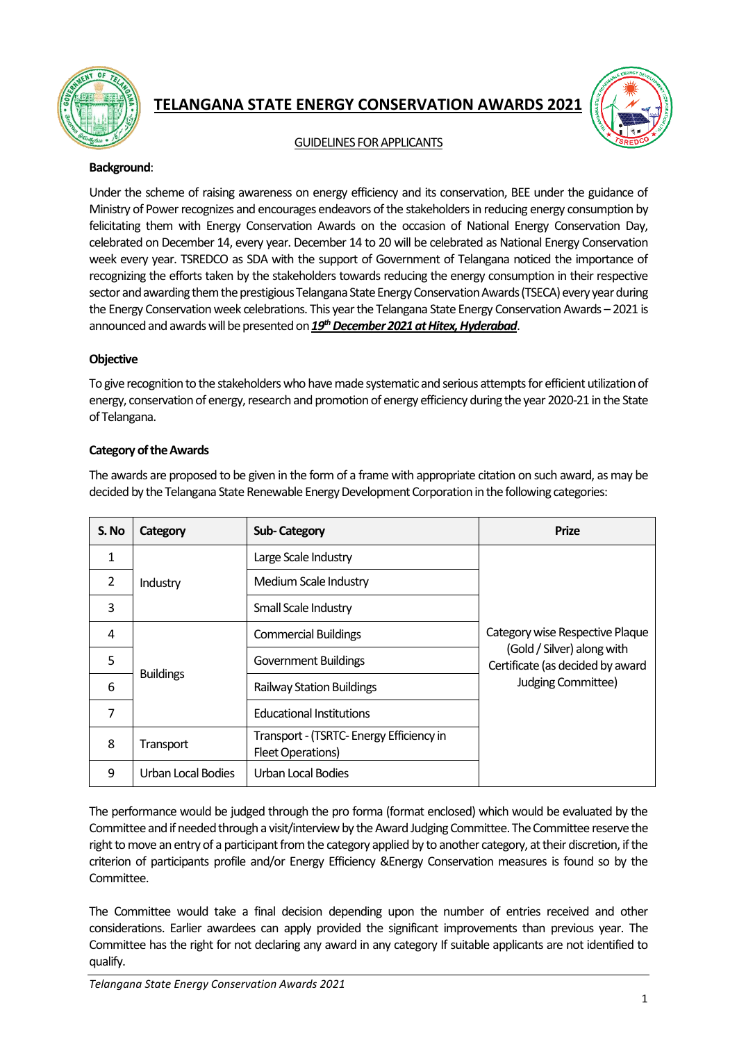

# **TELANGANA STATE ENERGY CONSERVATION AWARDS 2021**



# GUIDELINES FOR APPLICANTS

#### **Background**:

Under the scheme of raising awareness on energy efficiency and its conservation, BEE under the guidance of Ministry of Power recognizes and encourages endeavors of the stakeholders in reducing energy consumption by felicitating them with Energy Conservation Awards on the occasion of National Energy Conservation Day, celebrated on December 14, every year. December 14 to 20 will be celebrated as National Energy Conservation week every year. TSREDCO as SDA with the support of Government of Telangana noticed the importance of recognizing the efforts taken by the stakeholders towards reducing the energy consumption in their respective sector and awarding them the prestigious Telangana State Energy Conservation Awards (TSECA) every year during the Energy Conservation week celebrations. This year the Telangana State Energy Conservation Awards – 2021 is announced and awards will be presented on *19thDecember 2021 at Hitex, Hyderabad*.

# **Objective**

To give recognition to the stakeholders who have made systematic and serious attempts for efficient utilization of energy, conservation of energy, research and promotion of energy efficiency during the year 2020-21 in the State of Telangana.

# **Category of the Awards**

The awards are proposed to be given in the form of a frame with appropriate citation on such award, as may be decided by the Telangana State Renewable Energy Development Corporationin the following categories:

| S. No | Category           | <b>Sub-Category</b>                                           | <b>Prize</b>                                                                                                            |
|-------|--------------------|---------------------------------------------------------------|-------------------------------------------------------------------------------------------------------------------------|
| 1     | Industry           | Large Scale Industry                                          | Category wise Respective Plaque<br>(Gold / Silver) along with<br>Certificate (as decided by award<br>Judging Committee) |
| 2     |                    | Medium Scale Industry                                         |                                                                                                                         |
| 3     |                    | Small Scale Industry                                          |                                                                                                                         |
| 4     | <b>Buildings</b>   | <b>Commercial Buildings</b>                                   |                                                                                                                         |
| 5     |                    | <b>Government Buildings</b>                                   |                                                                                                                         |
| 6     |                    | <b>Railway Station Buildings</b>                              |                                                                                                                         |
| 7     |                    | <b>Educational Institutions</b>                               |                                                                                                                         |
| 8     | Transport          | Transport - (TSRTC- Energy Efficiency in<br>Fleet Operations) |                                                                                                                         |
| 9     | Urban Local Bodies | Urban Local Bodies                                            |                                                                                                                         |

The performance would be judged through the pro forma (format enclosed) which would be evaluated by the Committee and if needed through a visit/interview by the Award Judging Committee.The Committee reserve the right to move an entry of a participant from the category applied by to another category, at their discretion, if the criterion of participants profile and/or Energy Efficiency &Energy Conservation measures is found so by the Committee.

The Committee would take a final decision depending upon the number of entries received and other considerations. Earlier awardees can apply provided the significant improvements than previous year. The Committee has the right for not declaring any award in any category If suitable applicants are not identified to qualify.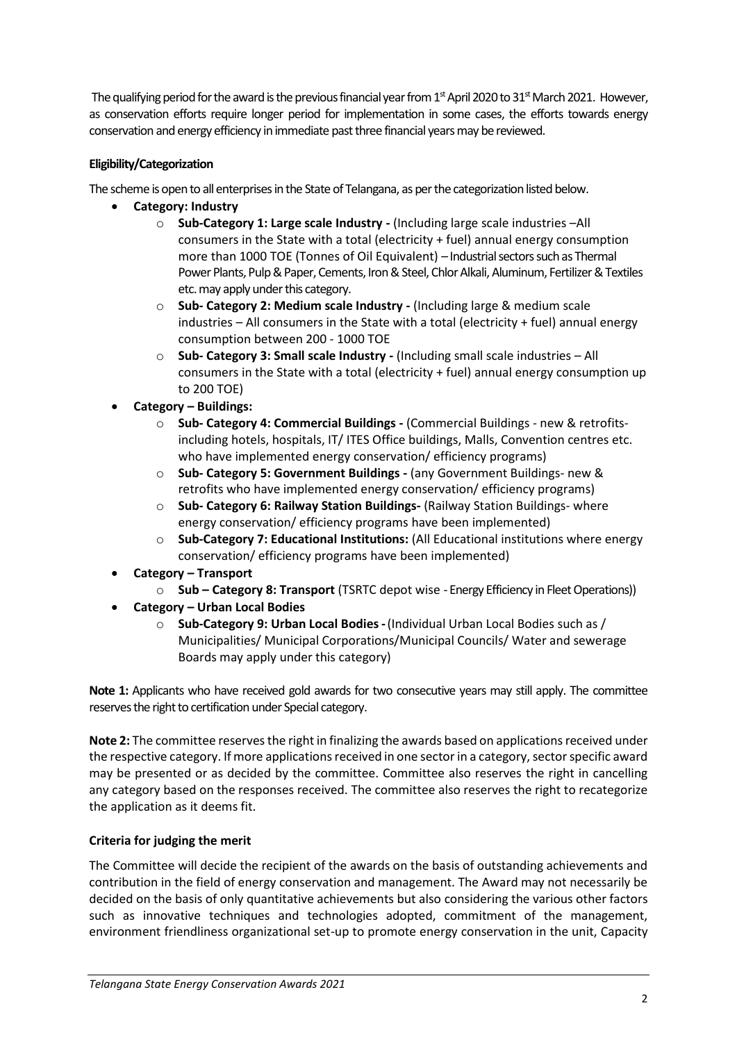The qualifying period for the award is the previous financial year from  $1<sup>st</sup>$  April 2020 to 31<sup>st</sup> March 2021. However, as conservation efforts require longer period for implementation in some cases, the efforts towards energy conservation and energy efficiency in immediate past three financial years may be reviewed.

# **Eligibility/Categorization**

The scheme is open to all enterprises in the State of Telangana, as per the categorization listed below.

- **Category: Industry**
	- o **Sub-Category 1: Large scale Industry -** (Including large scale industries –All consumers in the State with a total (electricity + fuel) annual energy consumption more than 1000 TOE (Tonnes of Oil Equivalent) – Industrial sectors such as Thermal Power Plants, Pulp & Paper, Cements, Iron & Steel, Chlor Alkali, Aluminum, Fertilizer & Textiles etc. may apply under this category.
	- o **Sub- Category 2: Medium scale Industry -** (Including large & medium scale industries – All consumers in the State with a total (electricity + fuel) annual energy consumption between 200 - 1000 TOE
	- o **Sub- Category 3: Small scale Industry -** (Including small scale industries All consumers in the State with a total (electricity + fuel) annual energy consumption up to 200 TOE)
- **Category – Buildings:**
	- o **Sub- Category 4: Commercial Buildings -** (Commercial Buildings new & retrofitsincluding hotels, hospitals, IT/ ITES Office buildings, Malls, Convention centres etc. who have implemented energy conservation/ efficiency programs)
	- o **Sub- Category 5: Government Buildings -** (any Government Buildings- new & retrofits who have implemented energy conservation/ efficiency programs)
	- o **Sub- Category 6: Railway Station Buildings-** (Railway Station Buildings- where energy conservation/ efficiency programs have been implemented)
	- o **Sub-Category 7: Educational Institutions:** (All Educational institutions where energy conservation/ efficiency programs have been implemented)
- **Category – Transport**
	- o **Sub – Category 8: Transport** (TSRTC depot wise Energy Efficiency in Fleet Operations))
- **Category – Urban Local Bodies**
	- o **Sub-Category 9: Urban Local Bodies-**(Individual Urban Local Bodies such as / Municipalities/ Municipal Corporations/Municipal Councils/ Water and sewerage Boards may apply under this category)

**Note 1:** Applicants who have received gold awards for two consecutive years may still apply. The committee reserves the right to certification under Special category.

**Note 2:** The committee reserves the right in finalizing the awards based on applications received under the respective category. If more applications received in one sector in a category, sector specific award may be presented or as decided by the committee. Committee also reserves the right in cancelling any category based on the responses received. The committee also reserves the right to recategorize the application as it deems fit.

# **Criteria for judging the merit**

The Committee will decide the recipient of the awards on the basis of outstanding achievements and contribution in the field of energy conservation and management. The Award may not necessarily be decided on the basis of only quantitative achievements but also considering the various other factors such as innovative techniques and technologies adopted, commitment of the management, environment friendliness organizational set-up to promote energy conservation in the unit, Capacity